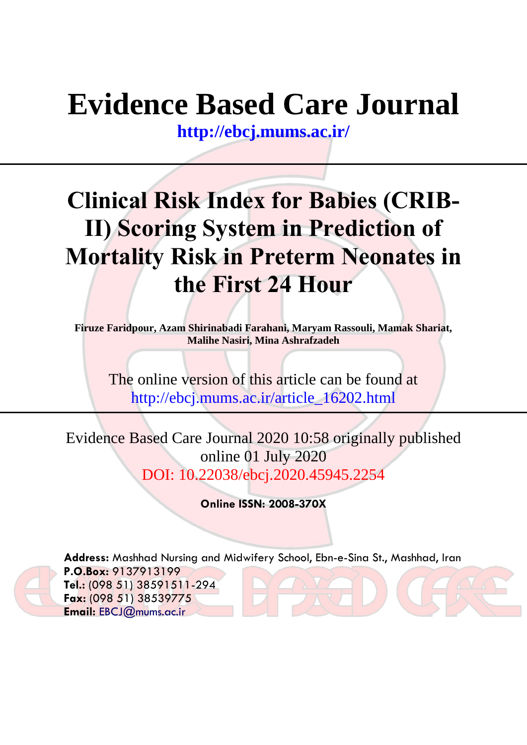# **Evidence Based Care Journal**

**<http://ebcj.mums.ac.ir/>**

## **Clinical Risk Index for Babies (CRIB-II) Scoring System in Prediction of Mortality Risk in Preterm Neonates in the First 24 Hour**

**Firuze Faridpour, Azam Shirinabadi Farahani, Maryam Rassouli, Mamak Shariat, Malihe Nasiri, Mina Ashrafzadeh**

The online version of this article can be found at http://ebcj.mums.ac.ir/article\_16202.html

Evidence Based Care Journal 2020 10:58 originally published online 01 July 2020 DOI: 10.22038/ebcj.2020.45945.2254

**Online ISSN: 2008-370X**



**Address:** Mashhad Nursing and Midwifery School, Ebn-e-Sina St., Mashhad, Iran **P.O.Box:** 9137913199 **Tel.:** (098 51) 38591511-294 **Fax:** (098 51) 38539775 **Email:** [EBCJ@mums.ac.ir](mailto:EBCJ@mums.ac.ir)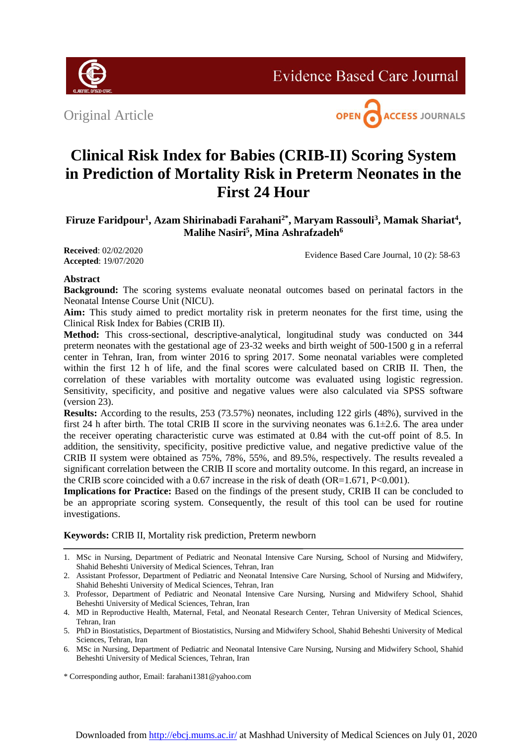

**Evidence Based Care Journal** 

Original Article



## **Clinical Risk Index for Babies (CRIB-II) Scoring System in Prediction of Mortality Risk in Preterm Neonates in the First 24 Hour**

**Firuze Faridpour<sup>1</sup> , Azam Shirinabadi Farahani2\*, Maryam Rassouli<sup>3</sup> , Mamak Shariat<sup>4</sup> , Malihe Nasiri<sup>5</sup> , Mina Ashrafzadeh<sup>6</sup>**

**Received**: 02/02/2020 **Accepted**: 19/07/2020

Evidence Based Care Journal, 10 (2): 58-63

## **Abstract**

**Background:** The scoring systems evaluate neonatal outcomes based on perinatal factors in the Neonatal Intense Course Unit (NICU).

**Aim:** This study aimed to predict mortality risk in preterm neonates for the first time, using the Clinical Risk Index for Babies (CRIB II).

**Method:** This cross-sectional, descriptive-analytical, longitudinal study was conducted on 344 preterm neonates with the gestational age of 23-32 weeks and birth weight of 500-1500 g in a referral center in Tehran, Iran, from winter 2016 to spring 2017. Some neonatal variables were completed within the first 12 h of life, and the final scores were calculated based on CRIB II. Then, the correlation of these variables with mortality outcome was evaluated using logistic regression. Sensitivity, specificity, and positive and negative values were also calculated via SPSS software (version 23).

**Results:** According to the results, 253 (73.57%) neonates, including 122 girls (48%), survived in the first 24 h after birth. The total CRIB II score in the surviving neonates was  $6.1\pm2.6$ . The area under the receiver operating characteristic curve was estimated at 0.84 with the cut-off point of 8.5. In addition, the sensitivity, specificity, positive predictive value, and negative predictive value of the CRIB II system were obtained as 75%, 78%, 55%, and 89.5%, respectively. The results revealed a significant correlation between the CRIB II score and mortality outcome. In this regard, an increase in the CRIB score coincided with a  $0.67$  increase in the risk of death (OR=1.671, P<0.001).

**Implications for Practice:** Based on the findings of the present study, CRIB II can be concluded to be an appropriate scoring system. Consequently, the result of this tool can be used for routine investigations.

**Keywords:** CRIB II, Mortality risk prediction, Preterm newborn

2. Assistant Professor, Department of Pediatric and Neonatal Intensive Care Nursing, School of Nursing and Midwifery, Shahid Beheshti University of Medical Sciences, Tehran, Iran

- 5. PhD in Biostatistics, Department of Biostatistics, Nursing and Midwifery School, Shahid Beheshti University of Medical Sciences, Tehran, Iran
- 6. MSc in Nursing, Department of Pediatric and Neonatal Intensive Care Nursing, Nursing and Midwifery School, Shahid Beheshti University of Medical Sciences, Tehran, Iran

<sup>1.</sup> MSc in Nursing, Department of Pediatric and Neonatal Intensive Care Nursing, School of Nursing and Midwifery, Shahid Beheshti University of Medical Sciences, Tehran, Iran

<sup>3.</sup> Professor, Department of Pediatric and Neonatal Intensive Care Nursing, Nursing and Midwifery School, Shahid Beheshti University of Medical Sciences, Tehran, Iran

<sup>4.</sup> MD in Reproductive Health, Maternal, Fetal, and Neonatal Research Center, Tehran University of Medical Sciences, Tehran, Iran

<sup>\*</sup> Corresponding author, Email: farahani1381@yahoo.com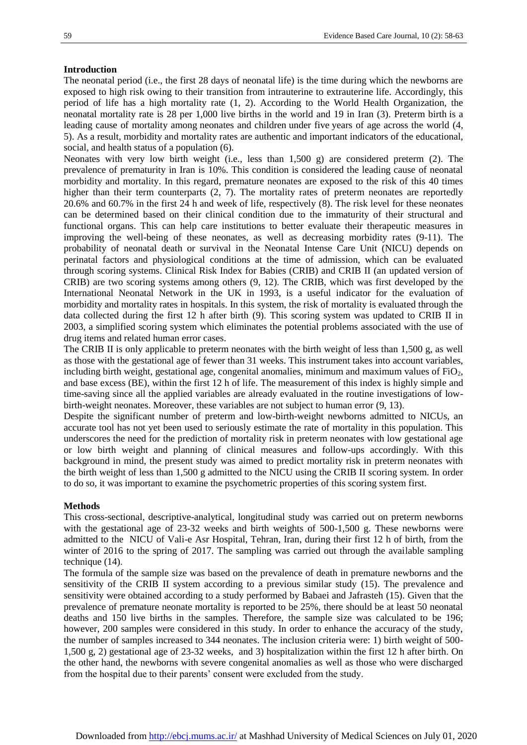## **Introduction**

The neonatal period (i.e., the first 28 days of neonatal life) is the time during which the newborns are exposed to high risk owing to their transition from intrauterine to extrauterine life. Accordingly, this period of life has a high mortality rate (1, 2). According to the World Health Organization, the neonatal mortality rate is 28 per 1,000 live births in the world and 19 in Iran (3). Preterm birth is a leading cause of mortality among neonates and children under five years of age across the world (4, 5). As a result, morbidity and mortality rates are authentic and important indicators of the educational, social, and health status of a population (6).

Neonates with very low birth weight (i.e., less than 1,500 g) are considered preterm (2). The prevalence of prematurity in Iran is 10%. This condition is considered the leading cause of neonatal morbidity and mortality. In this regard, premature neonates are exposed to the risk of this 40 times higher than their term counterparts (2, 7). The mortality rates of preterm neonates are reportedly 20.6% and 60.7% in the first 24 h and week of life, respectively (8). The risk level for these neonates can be determined based on their clinical condition due to the immaturity of their structural and functional organs. This can help care institutions to better evaluate their therapeutic measures in improving the well-being of these neonates, as well as decreasing morbidity rates (9-11). The probability of neonatal death or survival in the Neonatal Intense Care Unit (NICU) depends on perinatal factors and physiological conditions at the time of admission, which can be evaluated through scoring systems. Clinical Risk Index for Babies (CRIB) and CRIB II (an updated version of CRIB) are two scoring systems among others (9, 12). The CRIB, which was first developed by the International Neonatal Network in the UK in 1993, is a useful indicator for the evaluation of morbidity and mortality rates in hospitals. In this system, the risk of mortality is evaluated through the data collected during the first 12 h after birth (9). This scoring system was updated to CRIB II in 2003, a simplified scoring system which eliminates the potential problems associated with the use of drug items and related human error cases.

The CRIB II is only applicable to preterm neonates with the birth weight of less than 1,500 g, as well as those with the gestational age of fewer than 31 weeks. This instrument takes into account variables, including birth weight, gestational age, congenital anomalies, minimum and maximum values of  $FiO<sub>2</sub>$ , and base excess (BE), within the first 12 h of life. The measurement of this index is highly simple and time-saving since all the applied variables are already evaluated in the routine investigations of lowbirth-weight neonates. Moreover, these variables are not subject to human error (9, 13).

Despite the significant number of preterm and low-birth-weight newborns admitted to NICUs, an accurate tool has not yet been used to seriously estimate the rate of mortality in this population. This underscores the need for the prediction of mortality risk in preterm neonates with low gestational age or low birth weight and planning of clinical measures and follow-ups accordingly. With this background in mind, the present study was aimed to predict mortality risk in preterm neonates with the birth weight of less than 1,500 g admitted to the NICU using the CRIB II scoring system. In order to do so, it was important to examine the psychometric properties of this scoring system first.

### **Methods**

This cross-sectional, descriptive-analytical, longitudinal study was carried out on preterm newborns with the gestational age of 23-32 weeks and birth weights of 500-1,500 g. These newborns were admitted to the NICU of Vali-e Asr Hospital, Tehran, Iran, during their first 12 h of birth, from the winter of 2016 to the spring of 2017. The sampling was carried out through the available sampling technique (14).

The formula of the sample size was based on the prevalence of death in premature newborns and the sensitivity of the CRIB II system according to a previous similar study (15). The prevalence and sensitivity were obtained according to a study performed by Babaei and Jafrasteh (15). Given that the prevalence of premature neonate mortality is reported to be 25%, there should be at least 50 neonatal deaths and 150 live births in the samples. Therefore, the sample size was calculated to be 196; however, 200 samples were considered in this study. In order to enhance the accuracy of the study, the number of samples increased to 344 neonates. The inclusion criteria were: 1) birth weight of 500- 1,500 g, 2) gestational age of 23-32 weeks, and 3) hospitalization within the first 12 h after birth. On the other hand, the newborns with severe congenital anomalies as well as those who were discharged from the hospital due to their parents' consent were excluded from the study.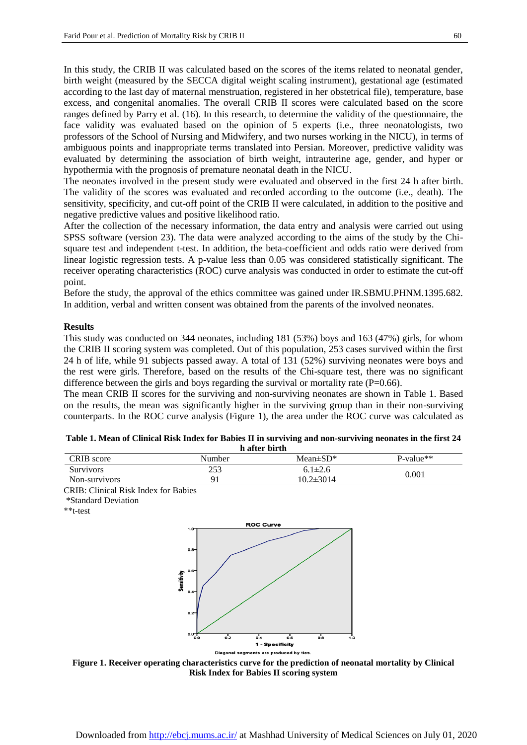In this study, the CRIB II was calculated based on the scores of the items related to neonatal gender, birth weight (measured by the SECCA digital weight scaling instrument), gestational age (estimated according to the last day of maternal menstruation, registered in her obstetrical file), temperature, base excess, and congenital anomalies. The overall CRIB II scores were calculated based on the score ranges defined by Parry et al. (16). In this research, to determine the validity of the questionnaire, the face validity was evaluated based on the opinion of 5 experts (i.e., three neonatologists, two professors of the School of Nursing and Midwifery, and two nurses working in the NICU), in terms of ambiguous points and inappropriate terms translated into Persian. Moreover, predictive validity was evaluated by determining the association of birth weight, intrauterine age, gender, and hyper or hypothermia with the prognosis of premature neonatal death in the NICU.

The neonates involved in the present study were evaluated and observed in the first 24 h after birth. The validity of the scores was evaluated and recorded according to the outcome (i.e., death). The sensitivity, specificity, and cut-off point of the CRIB II were calculated, in addition to the positive and negative predictive values and positive likelihood ratio.

After the collection of the necessary information, the data entry and analysis were carried out using SPSS software (version 23). The data were analyzed according to the aims of the study by the Chisquare test and independent t-test. In addition, the beta-coefficient and odds ratio were derived from linear logistic regression tests. A p-value less than 0.05 was considered statistically significant. The receiver operating characteristics (ROC) curve analysis was conducted in order to estimate the cut-off point.

Before the study, the approval of the ethics committee was gained under IR.SBMU.PHNM.1395.682. In addition, verbal and written consent was obtained from the parents of the involved neonates.

## **Results**

This study was conducted on 344 neonates, including 181 (53%) boys and 163 (47%) girls, for whom the CRIB II scoring system was completed. Out of this population, 253 cases survived within the first 24 h of life, while 91 subjects passed away. A total of 131 (52%) surviving neonates were boys and the rest were girls. Therefore, based on the results of the Chi-square test, there was no significant difference between the girls and boys regarding the survival or mortality rate  $(P=0.66)$ .

The mean CRIB II scores for the surviving and non-surviving neonates are shown in Table 1. Based on the results, the mean was significantly higher in the surviving group than in their non-surviving counterparts. In the ROC curve analysis (Figure 1), the area under the ROC curve was calculated as

| n after birth    |        |                            |             |  |  |
|------------------|--------|----------------------------|-------------|--|--|
| CRIB score       | Number | Mean $\pm$ SD <sup>*</sup> | $P-value**$ |  |  |
| <b>Survivors</b> | 253    | $6.1 \pm 2.6$              | 0.001       |  |  |
| Non-survivors    | 91     | $10.2 \pm 3014$            |             |  |  |

| Table 1. Mean of Clinical Risk Index for Babies II in surviving and non-surviving neonates in the first 24 |
|------------------------------------------------------------------------------------------------------------|
| h after birth                                                                                              |

CRIB: Clinical Risk Index for Babies

\*Standard Deviation

\*\*t-test



**Figure 1. Receiver operating characteristics curve for the prediction of neonatal mortality by Clinical Risk Index for Babies II scoring system**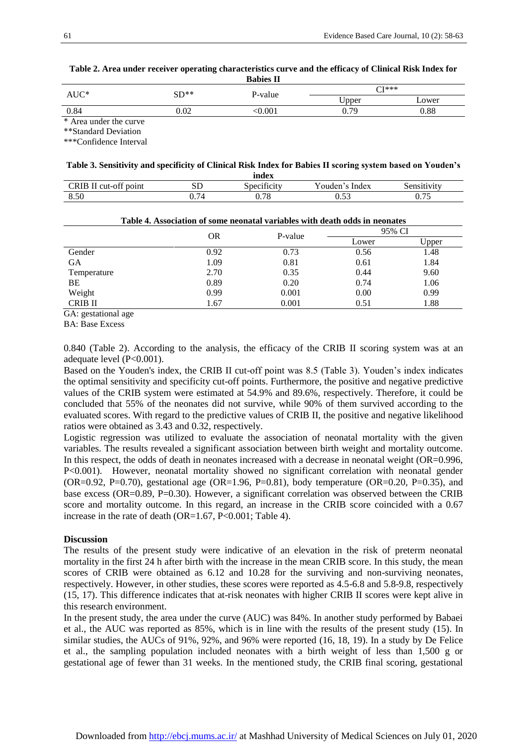**Table 2. Area under receiver operating characteristics curve and the efficacy of Clinical Risk Index for Babies II**

| $AUC^*$                | $SD**$ | P-value | ∩T*** |            |  |
|------------------------|--------|---------|-------|------------|--|
|                        |        |         | Upper | Lower      |  |
| 0.84                   | 0.02   | 0.001   | 0.79  | $\rm 0.88$ |  |
| * Area under the curve |        |         |       |            |  |

\*\*Standard Deviation

\*\*\*Confidence Interval

## **Table 3. Sensitivity and specificity of Clinical Risk Index for Babies II scoring system based on Youden's**

|                                        |                | index                         |                 |                 |
|----------------------------------------|----------------|-------------------------------|-----------------|-----------------|
| CRIB II<br>$^{cc}$<br>cut-off<br>point | σт<br>עפ       | $\cdot$ $\sim$<br>Specificity | ouden'<br>Index | sensitivity     |
| 8.50                                   | $\overline{ }$ | 7c<br>V. 70                   | $\sim$<br>v.JJ  | $- -$<br>v. 1 J |

| Table 4. Association of some neonatal variables with death odds in neonates |         |        |       |  |
|-----------------------------------------------------------------------------|---------|--------|-------|--|
| <b>OR</b>                                                                   | P-value | 95% CI |       |  |
|                                                                             |         | Lower  | Upper |  |
| 0.92                                                                        | 0.73    | 0.56   | 1.48  |  |
| 1.09                                                                        | 0.81    | 0.61   | 1.84  |  |
| 2.70                                                                        | 0.35    | 0.44   | 9.60  |  |
| 0.89                                                                        | 0.20    | 0.74   | 1.06  |  |
| 0.99                                                                        | 0.001   | 0.00   | 0.99  |  |
| 1.67                                                                        | 0.001   | 0.51   | 1.88  |  |
|                                                                             |         |        |       |  |

GA: gestational age

BA: Base Excess

0.840 (Table 2). According to the analysis, the efficacy of the CRIB II scoring system was at an adequate level (P<0.001).

Based on the Youden's index, the CRIB II cut-off point was 8.5 (Table 3). Youden's index indicates the optimal sensitivity and specificity cut-off points. Furthermore, the positive and negative predictive values of the CRIB system were estimated at 54.9% and 89.6%, respectively. Therefore, it could be concluded that 55% of the neonates did not survive, while 90% of them survived according to the evaluated scores. With regard to the predictive values of CRIB II, the positive and negative likelihood ratios were obtained as 3.43 and 0.32, respectively.

Logistic regression was utilized to evaluate the association of neonatal mortality with the given variables. The results revealed a significant association between birth weight and mortality outcome. In this respect, the odds of death in neonates increased with a decrease in neonatal weight (OR=0.996, P<0.001). However, neonatal mortality showed no significant correlation with neonatal gender (OR=0.92, P=0.70), gestational age (OR=1.96, P=0.81), body temperature (OR=0.20, P=0.35), and base excess (OR=0.89, P=0.30). However, a significant correlation was observed between the CRIB score and mortality outcome. In this regard, an increase in the CRIB score coincided with a 0.67 increase in the rate of death (OR=1.67, P<0.001; Table 4).

## **Discussion**

The results of the present study were indicative of an elevation in the risk of preterm neonatal mortality in the first 24 h after birth with the increase in the mean CRIB score. In this study, the mean scores of CRIB were obtained as 6.12 and 10.28 for the surviving and non-surviving neonates, respectively. However, in other studies, these scores were reported as 4.5-6.8 and 5.8-9.8, respectively (15, 17). This difference indicates that at-risk neonates with higher CRIB II scores were kept alive in this research environment.

In the present study, the area under the curve (AUC) was 84%. In another study performed by Babaei et al., the AUC was reported as 85%, which is in line with the results of the present study (15). In similar studies, the AUCs of 91%, 92%, and 96% were reported (16, 18, 19). In a study by De Felice et al., the sampling population included neonates with a birth weight of less than 1,500 g or gestational age of fewer than 31 weeks. In the mentioned study, the CRIB final scoring, gestational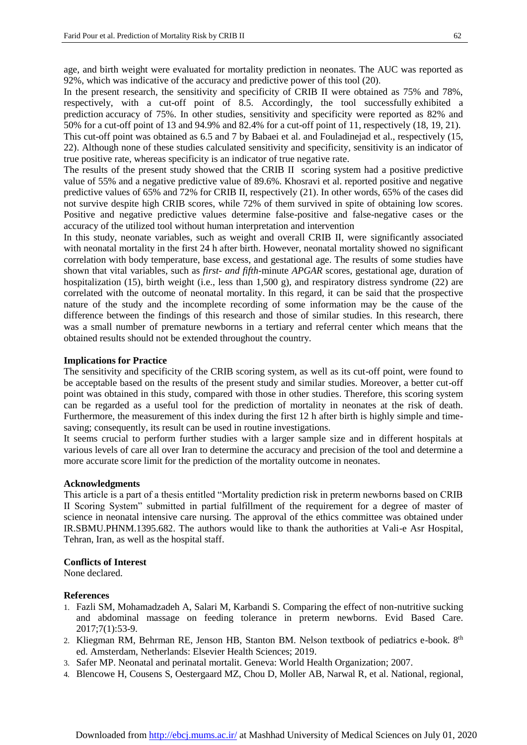age, and birth weight were evaluated for mortality prediction in neonates. The AUC was reported as 92%, which was indicative of the accuracy and predictive power of this tool (20).

In the present research, the sensitivity and specificity of CRIB II were obtained as 75% and 78%, respectively, with a cut-off point of 8.5. Accordingly, the tool successfully exhibited a prediction accuracy of 75%. In other studies, sensitivity and specificity were reported as 82% and 50% for a cut-off point of 13 and 94.9% and 82.4% for a cut-off point of 11, respectively (18, 19, 21). This cut-off point was obtained as 6.5 and 7 by Babaei et al. and Fouladinejad et al., respectively (15, 22). Although none of these studies calculated sensitivity and specificity, sensitivity is an indicator of true positive rate, whereas specificity is an indicator of true negative rate.

The results of the present study showed that the CRIB II scoring system had a positive predictive value of 55% and a negative predictive value of 89.6%. Khosravi et al. reported positive and negative predictive values of 65% and 72% for CRIB II, respectively (21). In other words, 65% of the cases did not survive despite high CRIB scores, while 72% of them survived in spite of obtaining low scores. Positive and negative predictive values determine false-positive and false-negative cases or the accuracy of the utilized tool without human interpretation and intervention

In this study, neonate variables, such as weight and overall CRIB II, were significantly associated with neonatal mortality in the first 24 h after birth. However, neonatal mortality showed no significant correlation with body temperature, base excess, and gestational age. The results of some studies have shown that vital variables, such as *first- and fifth-*minute *APGAR* scores, gestational age, duration of hospitalization (15), birth weight (i.e., less than 1,500 g), and respiratory distress syndrome (22) are correlated with the outcome of neonatal mortality. In this regard, it can be said that the prospective nature of the study and the incomplete recording of some information may be the cause of the difference between the findings of this research and those of similar studies. In this research, there was a small number of premature newborns in a tertiary and referral center which means that the obtained results should not be extended throughout the country*.*

### **Implications for Practice**

The sensitivity and specificity of the CRIB scoring system, as well as its cut-off point, were found to be acceptable based on the results of the present study and similar studies. Moreover, a better cut-off point was obtained in this study, compared with those in other studies. Therefore, this scoring system can be regarded as a useful tool for the prediction of mortality in neonates at the risk of death. Furthermore, the measurement of this index during the first 12 h after birth is highly simple and timesaving; consequently, its result can be used in routine investigations.

It seems crucial to perform further studies with a larger sample size and in different hospitals at various levels of care all over Iran to determine the accuracy and precision of the tool and determine a more accurate score limit for the prediction of the mortality outcome in neonates.

### **Acknowledgments**

This article is a part of a thesis entitled "Mortality prediction risk in preterm newborns based on CRIB II Scoring System" submitted in partial fulfillment of the requirement for a degree of master of science in neonatal intensive care nursing. The approval of the ethics committee was obtained under IR.SBMU.PHNM.1395.682. The authors would like to thank the authorities at Vali-e Asr Hospital, Tehran, Iran, as well as the hospital staff.

## **Conflicts of Interest**

None declared.

## **References**

- 1. Fazli SM, Mohamadzadeh A, Salari M, Karbandi S. Comparing the effect of non-nutritive sucking and abdominal massage on feeding tolerance in preterm newborns. Evid Based Care. 2017;7(1):53-9.
- 2. Kliegman RM, Behrman RE, Jenson HB, Stanton BM. Nelson textbook of pediatrics e-book. 8<sup>th</sup> ed. Amsterdam, Netherlands: Elsevier Health Sciences; 2019.
- 3. Safer MP. Neonatal and perinatal mortalit. Geneva: World Health Organization; 2007.
- 4. Blencowe H, Cousens S, Oestergaard MZ, Chou D, Moller AB, Narwal R, et al. National, regional,